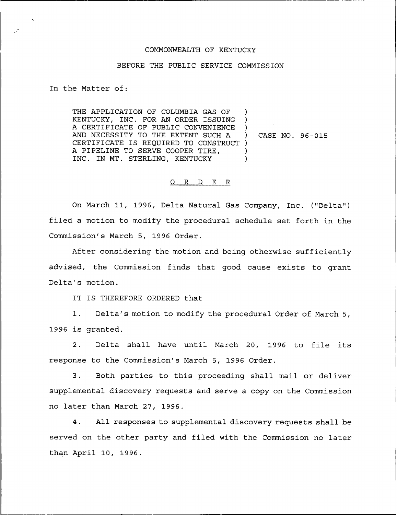## COMMONWEALTH OF KENTUCKY

## BEFORE THE PUBLIC SERVICE COMMISSION

In the Matter of:

THE APPLICATION OF COLUMBIA GAS OF KENTUCKY, INC. FOR AN ORDER ISSUING A CERTIFICATE OF PUBLIC CONVENIENCE AND NECESSITY TO THE EXTENT SUCH A CERTIFICATE IS REQUIRED TO CONSTRUCT ) A PIPELINE TO SERVE COOPER TIRE, INC. IN MT. STERLING, KENTUCKY ) ) ) ) )

) CASE NO. 96-015

## 0 R <sup>D</sup> E R

On March 11, 1996, Delta Natural Gas Company, Inc. ("Delta" ) filed a motion to modify the procedural schedule set forth in the Commission's March 5, 1996 Order.

After considering the motion and being otherwise sufficiently advised, the Commission finds that good cause exists to grant Delta's motion.

IT IS THEREFORE ORDERED that

1. Delta's motion to modify the procedural Order of March 5, 1996 is granted.

2. Delta shall have until March 20, 1996 to file its response to the Commission's March 5, 1996 Order.

3. Both parties to this proceeding shall mail or deliver supplemental discovery requests and serve a copy on the Commission no later than March 27, 1996.

4. All responses to supplemental discovery requests shall be served on the other party and filed with the Commission no later than April 10, 1996.